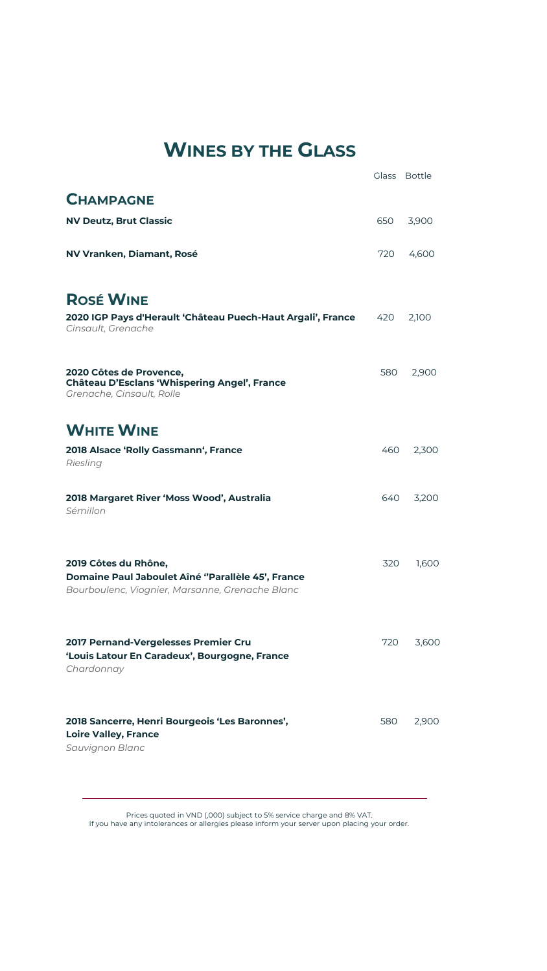# **WINES BY THE GLASS**

|                                                                                                                              |     | Glass Bottle |
|------------------------------------------------------------------------------------------------------------------------------|-----|--------------|
| <b>CHAMPAGNE</b>                                                                                                             |     |              |
| <b>NV Deutz, Brut Classic</b>                                                                                                | 650 | 3,900        |
| NV Vranken, Diamant, Rosé                                                                                                    | 720 | 4,600        |
| <b>ROSÉ WINE</b>                                                                                                             |     |              |
| 2020 IGP Pays d'Herault 'Château Puech-Haut Argali', France<br>Cinsault, Grenache                                            | 420 | 2,100        |
| 2020 Côtes de Provence,<br>Château D'Esclans 'Whispering Angel', France<br>Grenache, Cinsault, Rolle                         | 580 | 2,900        |
| <b>WHITE WINE</b>                                                                                                            |     |              |
| 2018 Alsace 'Rolly Gassmann', France<br>Riesling                                                                             | 460 | 2,300        |
| 2018 Margaret River 'Moss Wood', Australia<br>Sémillon                                                                       | 640 | 3,200        |
| 2019 Côtes du Rhône,<br>Domaine Paul Jaboulet Aîné "Parallèle 45', France<br>Bourboulenc, Viognier, Marsanne, Grenache Blanc | 320 | 1,600        |
| 2017 Pernand-Vergelesses Premier Cru<br>'Louis Latour En Caradeux', Bourgogne, France<br>Chardonnay                          | 720 | 3,600        |
| 2018 Sancerre, Henri Bourgeois 'Les Baronnes',<br><b>Loire Valley, France</b><br>Sauvignon Blanc                             | 580 | 2,900        |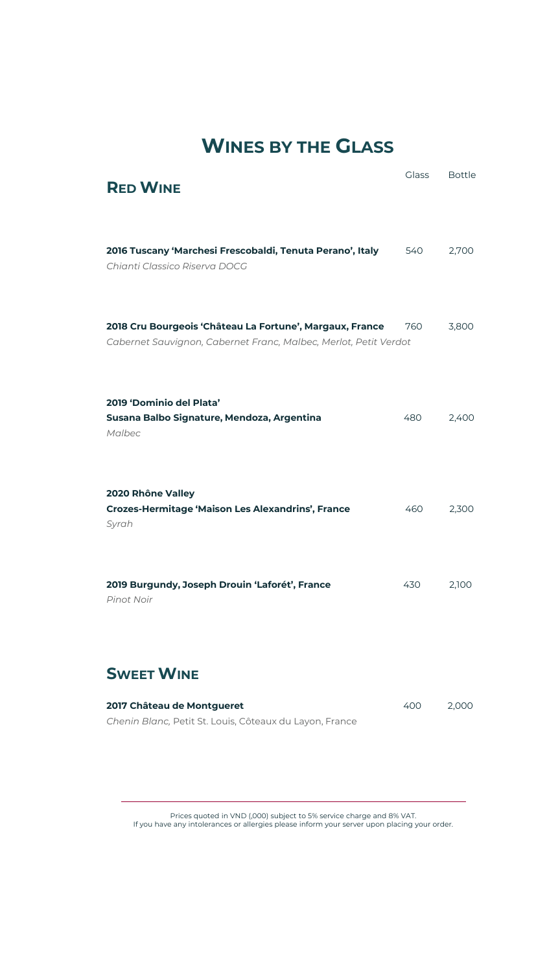## **WINES BY THE GLASS**

| <b>RED WINE</b>                                                                                                              | <b>Glass</b> | <b>Bottle</b> |
|------------------------------------------------------------------------------------------------------------------------------|--------------|---------------|
| 2016 Tuscany 'Marchesi Frescobaldi, Tenuta Perano', Italy<br>Chianti Classico Riserva DOCG                                   | 540          | 2,700         |
| 2018 Cru Bourgeois 'Château La Fortune', Margaux, France<br>Cabernet Sauvignon, Cabernet Franc, Malbec, Merlot, Petit Verdot | 760          | 3,800         |
| 2019 'Dominio del Plata'<br>Susana Balbo Signature, Mendoza, Argentina<br>Malbec                                             | 480          | 2,400         |
| 2020 Rhône Valley<br><b>Crozes-Hermitage 'Maison Les Alexandrins', France</b><br>Syrah                                       | 460          | 2,300         |
| 2019 Burgundy, Joseph Drouin 'Laforét', France<br>Pinot Noir                                                                 | 430          | 2,100         |
| <b>SWEET WINE</b>                                                                                                            |              |               |
| 2017 Château de Montgueret<br>Chenin Blanc, Petit St. Louis, Côteaux du Layon, France                                        | 400          | 2,000         |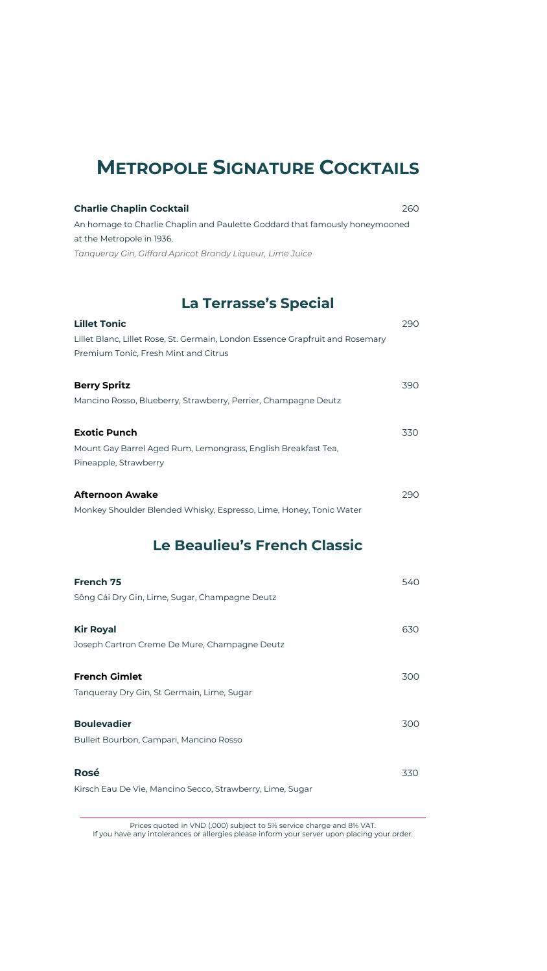### **METROPOLE SIGNATURE COCKTAILS**

| <b>Charlie Chaplin Cocktail</b>                                             | 260. |
|-----------------------------------------------------------------------------|------|
| An homage to Charlie Chaplin and Paulette Goddard that famously honeymooned |      |
| at the Metropole in 1936.                                                   |      |
| Tanaueray Gin, Giffard Apricot Brandy Liaueur, Lime Juice                   |      |

#### **La Terrasse's Special**

| <b>Lillet Tonic</b>                                                           | 290 |
|-------------------------------------------------------------------------------|-----|
| Lillet Blanc, Lillet Rose, St. Germain, London Essence Grapfruit and Rosemary |     |
| Premium Tonic, Fresh Mint and Citrus                                          |     |
|                                                                               |     |
| <b>Berry Spritz</b>                                                           | 390 |
| Mancino Rosso, Blueberry, Strawberry, Perrier, Champagne Deutz                |     |
|                                                                               |     |
| <b>Exotic Punch</b>                                                           | 330 |
| Mount Gay Barrel Aged Rum, Lemongrass, English Breakfast Tea,                 |     |
| Pineapple, Strawberry                                                         |     |
|                                                                               |     |
| <b>Afternoon Awake</b>                                                        | 290 |
| Monkey Shoulder Blended Whisky, Espresso, Lime, Honey, Tonic Water            |     |

#### **Le Beaulieu's French Classic**

| 540 |
|-----|
| 630 |
| 300 |
| 300 |
| 330 |
|     |

Prices quoted in VND (,000) subject to 5% service charge and 8% VAT.

If you have any intolerances or allergies please inform your server upon placing your order.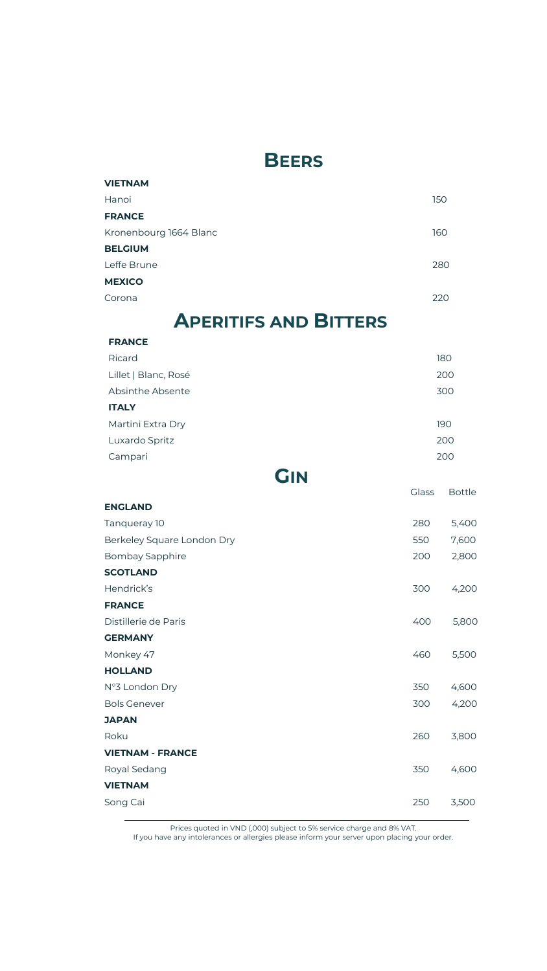### **BEERS**

| <b>VIETNAM</b>         |     |
|------------------------|-----|
| Hanoi                  | 150 |
| <b>FRANCE</b>          |     |
| Kronenbourg 1664 Blanc | 160 |
| <b>BELGIUM</b>         |     |
| Leffe Brune            | 280 |
| <b>MEXICO</b>          |     |
| Corona                 | 220 |

## **APERITIFS AND BITTERS**

| <b>FRANCE</b>        |     |
|----------------------|-----|
| Ricard               | 180 |
| Lillet   Blanc, Rosé | 200 |
| Absinthe Absente     | 300 |
| <b>ITALY</b>         |     |
| Martini Extra Dry    | 190 |
| Luxardo Spritz       | 200 |
| Campari              | 200 |
|                      |     |

### **GIN**

|                            | <b>Glass</b> | <b>Bottle</b> |
|----------------------------|--------------|---------------|
| <b>ENGLAND</b>             |              |               |
| Tanqueray 10               | 280          | 5,400         |
| Berkeley Square London Dry | 550          | 7,600         |
| Bombay Sapphire            | 200          | 2,800         |
| <b>SCOTLAND</b>            |              |               |
| Hendrick's                 | 300          | 4,200         |
| <b>FRANCE</b>              |              |               |
| Distillerie de Paris       | 400          | 5,800         |
| <b>GERMANY</b>             |              |               |
| Monkey 47                  | 460          | 5,500         |
| <b>HOLLAND</b>             |              |               |
| N°3 London Dry             | 350          | 4,600         |
| <b>Bols Genever</b>        | 300          | 4,200         |
| <b>JAPAN</b>               |              |               |
| Roku                       | 260          | 3,800         |
| <b>VIETNAM - FRANCE</b>    |              |               |
| Royal Sedang               | 350          | 4,600         |
| <b>VIETNAM</b>             |              |               |
| Song Cai                   | 250          | 3,500         |
|                            |              |               |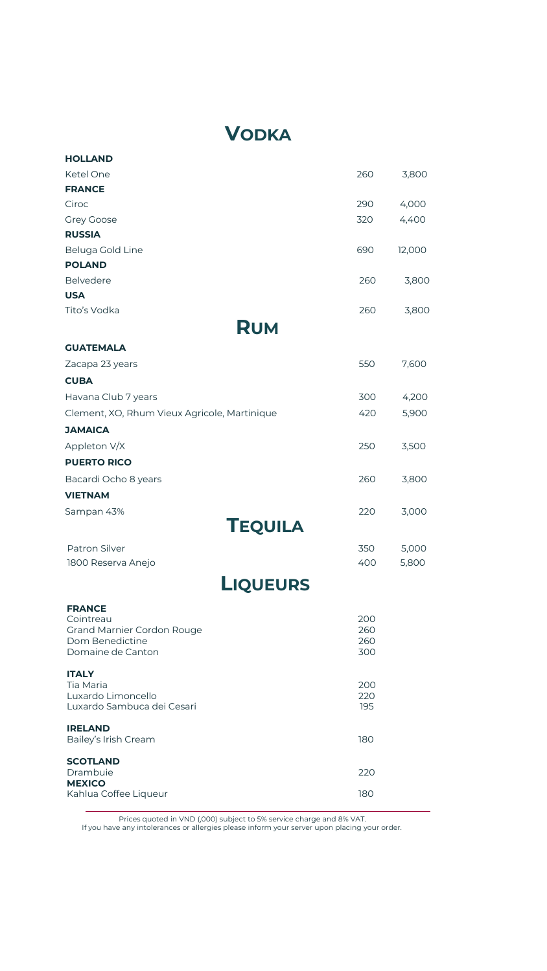## **VODKA**

| <b>HOLLAND</b>                                                                |                   |        |
|-------------------------------------------------------------------------------|-------------------|--------|
| Ketel One                                                                     | 260               | 3,800  |
| <b>FRANCE</b>                                                                 |                   |        |
| Ciroc                                                                         | 290               | 4,000  |
| <b>Grey Goose</b>                                                             | 320               | 4,400  |
| <b>RUSSIA</b>                                                                 |                   |        |
| Beluga Gold Line                                                              | 690               | 12,000 |
| <b>POLAND</b>                                                                 |                   |        |
| <b>Belvedere</b>                                                              | 260               | 3,800  |
| <b>USA</b>                                                                    |                   |        |
| Tito's Vodka                                                                  | 260               | 3,800  |
| <b>RUM</b>                                                                    |                   |        |
| <b>GUATEMALA</b>                                                              |                   |        |
| Zacapa 23 years                                                               | 550               | 7,600  |
| <b>CUBA</b>                                                                   |                   |        |
| Havana Club 7 years                                                           | 300               | 4,200  |
| Clement, XO, Rhum Vieux Agricole, Martinique                                  | 420               | 5,900  |
| <b>JAMAICA</b>                                                                |                   |        |
| Appleton V/X                                                                  | 250               | 3,500  |
| <b>PUERTO RICO</b>                                                            |                   |        |
| Bacardi Ocho 8 years                                                          | 260               | 3,800  |
| <b>VIETNAM</b>                                                                |                   |        |
| Sampan 43%                                                                    | 220               | 3,000  |
| <b>TEQUILA</b>                                                                |                   |        |
| Patron Silver                                                                 | 350               | 5,000  |
| 1800 Reserva Anejo                                                            | 400               | 5,800  |
| <b>LIQUEURS</b>                                                               |                   |        |
| <b>FRANCE</b><br>Cointreau<br><b>Grand Marnier Cordon Rouge</b>               | 200<br>260        |        |
| Dom Benedictine<br>Domaine de Canton                                          | 260<br>300        |        |
| <b>ITALY</b><br>Tia Maria<br>Luxardo Limoncello<br>Luxardo Sambuca dei Cesari | 200<br>220<br>195 |        |
| <b>IRELAND</b><br>Bailey's Irish Cream                                        | 180               |        |
| <b>SCOTLAND</b><br>Drambuie<br><b>MEXICO</b>                                  | 220               |        |
| Kahlua Coffee Liqueur                                                         | 180               |        |

Prices quoted in VND (,000) subject to 5% service charge and 8% VAT.

If you have any intolerances or allergies please inform your server upon placing your order.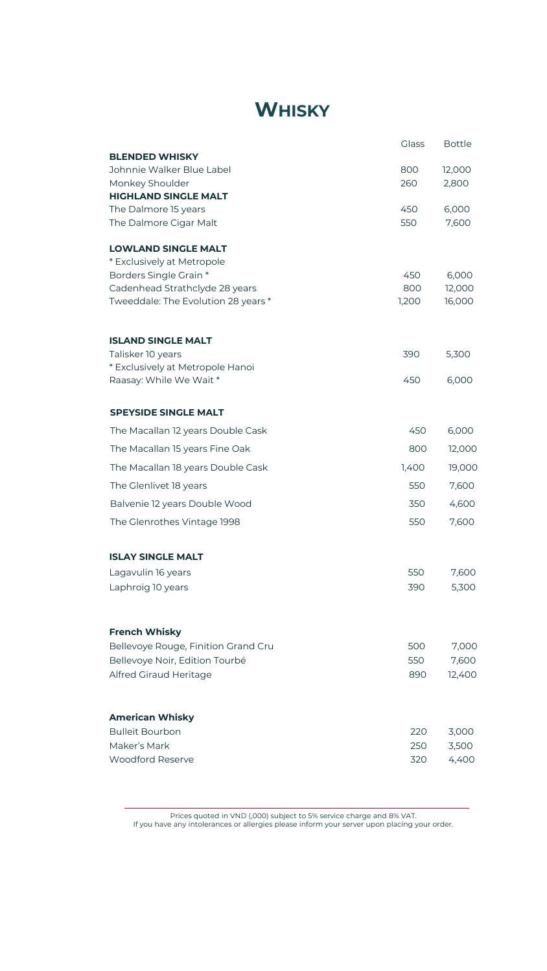# **WHISKY**

|                                                                       | Glass        | <b>Bottle</b>    |
|-----------------------------------------------------------------------|--------------|------------------|
| <b>BLENDED WHISKY</b>                                                 |              |                  |
| Johnnie Walker Blue Label                                             | 800          | 12,000           |
| Monkey Shoulder<br><b>HIGHLAND SINGLE MALT</b>                        | 260          | 2,800            |
| The Dalmore 15 years                                                  | 450          | 6,000            |
| The Dalmore Cigar Malt                                                | 550          | 7,600            |
| <b>LOWLAND SINGLE MALT</b>                                            |              |                  |
| * Exclusively at Metropole                                            |              |                  |
| Borders Single Grain *                                                | 450          | 6,000            |
| Cadenhead Strathclyde 28 years<br>Tweeddale: The Evolution 28 years * | 800<br>1,200 | 12,000<br>16,000 |
|                                                                       |              |                  |
| <b>ISLAND SINGLE MALT</b>                                             |              |                  |
| Talisker 10 years                                                     | 390          | 5,300            |
| * Exclusively at Metropole Hanoi<br>Raasay: While We Wait *           | 450          | 6,000            |
|                                                                       |              |                  |
| <b>SPEYSIDE SINGLE MALT</b>                                           |              |                  |
| The Macallan 12 years Double Cask                                     | 450          | 6,000            |
| The Macallan 15 years Fine Oak                                        | 800          | 12,000           |
| The Macallan 18 years Double Cask                                     | 1,400        | 19,000           |
| The Glenlivet 18 years                                                | 550          | 7,600            |
| Balvenie 12 years Double Wood                                         | 350          | 4,600            |
| The Glenrothes Vintage 1998                                           | 550          | 7,600            |
| <b>ISLAY SINGLE MALT</b>                                              |              |                  |
| Lagavulin 16 years                                                    | 550          | 7,600            |
| Laphroig 10 years                                                     | 390          | 5,300            |
| <b>French Whisky</b>                                                  |              |                  |
| Bellevoye Rouge, Finition Grand Cru                                   | 500          | 7,000            |
| Bellevoye Noir, Edition Tourbé                                        | 550          | 7,600            |
| Alfred Giraud Heritage                                                | 890          | 12,400           |
| <b>American Whisky</b>                                                |              |                  |
| <b>Bulleit Bourbon</b>                                                | 220          | 3,000            |
| Maker's Mark                                                          | 250          | 3,500            |
| Woodford Reserve                                                      | 320          | 4,400            |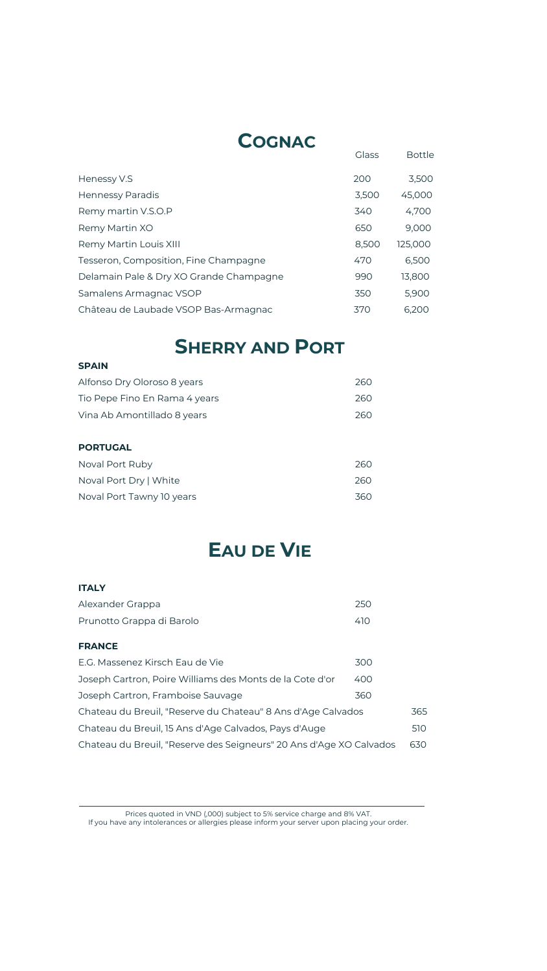## **COGNAC**

|                                         | <b>Glass</b> | <b>Bottle</b> |
|-----------------------------------------|--------------|---------------|
| Henessy V.S                             | 200          | 3,500         |
| Hennessy Paradis                        | 3,500        | 45,000        |
| Remy martin V.S.O.P                     | 340          | 4,700         |
| Remy Martin XO                          | 650          | 9,000         |
| Remy Martin Louis XIII                  | 8,500        | 125,000       |
| Tesseron, Composition, Fine Champagne   | 470          | 6,500         |
| Delamain Pale & Dry XO Grande Champagne | 990          | 13,800        |
| Samalens Armagnac VSOP                  | 350          | 5,900         |
| Château de Laubade VSOP Bas-Armagnac    | 370          | 6.200         |

# **SHERRY AND PORT**

| <b>SPAIN</b>                  |     |
|-------------------------------|-----|
| Alfonso Dry Oloroso 8 years   | 260 |
| Tio Pepe Fino En Rama 4 years | 260 |
| Vina Ab Amontillado 8 years   | 260 |
|                               |     |
| <b>PORTUGAL</b>               |     |
| Noval Port Ruby               | 260 |
| Noval Port Dry   White        | 260 |
| Noval Port Tawny 10 years     | 360 |

# **EAU DE VIE**

| <b>ITALY</b>              |      |
|---------------------------|------|
| Alexander Grappa          | 250  |
| Prunotto Grappa di Barolo | 410. |

| ×<br>--<br>٧ |
|--------------|
|--------------|

| E.G. Massenez Kirsch Eau de Vie                                     | 300 |     |
|---------------------------------------------------------------------|-----|-----|
| Joseph Cartron, Poire Williams des Monts de la Cote d'or            | 400 |     |
| Joseph Cartron, Framboise Sauvage                                   | 360 |     |
| Chateau du Breuil, "Reserve du Chateau" 8 Ans d'Age Calvados        |     | 365 |
| Chateau du Breuil, 15 Ans d'Age Calvados, Pays d'Auge               |     | 510 |
| Chateau du Breuil, "Reserve des Seigneurs" 20 Ans d'Age XO Calvados |     | 630 |
|                                                                     |     |     |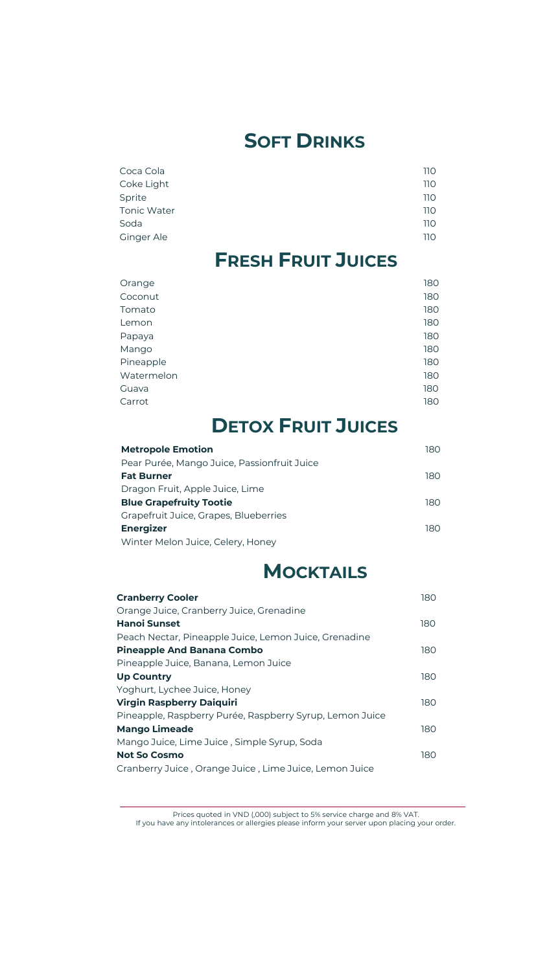# **SOFT DRINKS**

| Coca Cola   | 110 |
|-------------|-----|
| Coke Light  | 110 |
| Sprite      | 110 |
| Tonic Water | 110 |
| Soda        | 110 |
| Ginger Ale  | 110 |

# **FRESH FRUIT JUICES**

| 180 |
|-----|
| 180 |
| 180 |
| 180 |
| 180 |
| 180 |
| 180 |
| 180 |
| 180 |
| 180 |
|     |

# **DETOX FRUIT JUICES**

| <b>Metropole Emotion</b>                    | 180  |
|---------------------------------------------|------|
| Pear Purée, Mango Juice, Passionfruit Juice |      |
| <b>Fat Burner</b>                           | 180  |
| Dragon Fruit, Apple Juice, Lime             |      |
| <b>Blue Grapefruity Tootie</b>              | 180. |
| Grapefruit Juice, Grapes, Blueberries       |      |
| <b>Energizer</b>                            | 180  |
| Winter Melon Juice, Celery, Honey           |      |

## **MOCKTAILS**

| <b>Cranberry Cooler</b>                                  | 180 |
|----------------------------------------------------------|-----|
| Orange Juice, Cranberry Juice, Grenadine                 |     |
| Hanoi Sunset                                             | 180 |
| Peach Nectar, Pineapple Juice, Lemon Juice, Grenadine    |     |
| <b>Pineapple And Banana Combo</b>                        | 180 |
| Pineapple Juice, Banana, Lemon Juice                     |     |
| <b>Up Country</b>                                        | 180 |
| Yoghurt, Lychee Juice, Honey                             |     |
| Virgin Raspberry Daiquiri                                | 180 |
| Pineapple, Raspberry Purée, Raspberry Syrup, Lemon Juice |     |
| <b>Mango Limeade</b>                                     | 180 |
| Mango Juice, Lime Juice, Simple Syrup, Soda              |     |
| <b>Not So Cosmo</b>                                      | 180 |
| Cranberry Juice , Orange Juice , Lime Juice, Lemon Juice |     |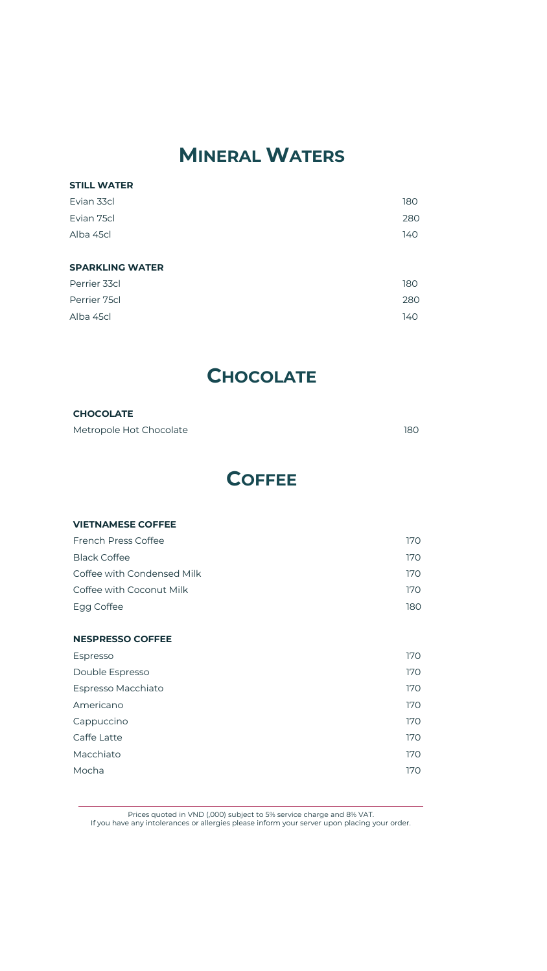# **MINERAL WATERS**

#### **STILL WATER** Evian 33cl **180** Evian 75cl 280 Alba 45cl 140 **SPARKLING WATER** Perrier 33cl 180 Perrier 75cl 280 Alba 45cl 140

### **CHOCOLATE**

| <b>CHOCOLATE</b>        |     |
|-------------------------|-----|
| Metropole Hot Chocolate | 180 |

## **COFFEE**

| <b>VIETNAMESE COFFEE</b>   |     |
|----------------------------|-----|
| French Press Coffee        | 170 |
| <b>Black Coffee</b>        | 170 |
| Coffee with Condensed Milk | 170 |
| Coffee with Coconut Milk   | 170 |
| Egg Coffee                 | 180 |
|                            |     |
| <b>NESPRESSO COFFEE</b>    |     |
| Espresso                   | 170 |
| Double Espresso            | 170 |
| Espresso Macchiato         | 170 |
| Americano                  | 170 |
| Cappuccino                 | 170 |
| Caffe Latte                | 170 |
| Macchiato                  | 170 |
| Mocha                      | 170 |
|                            |     |